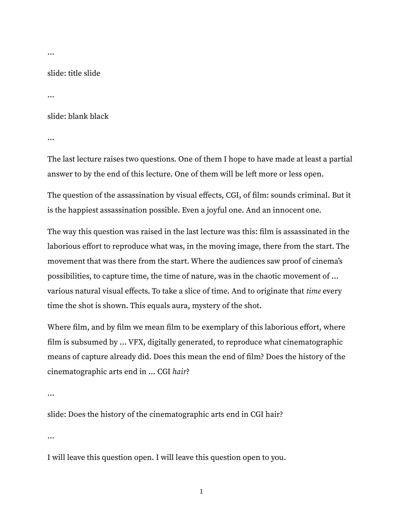…

slide: title slide

…

slide: blank black

…

The last lecture raises two questions. One of them I hope to have made at least a partial answer to by the end of this lecture. One of them will be left more or less open.

The question of the assassination by visual effects, CGI, of film: sounds criminal. But it is the happiest assassination possible. Even a joyful one. And an innocent one.

The way this question was raised in the last lecture was this: film is assassinated in the laborious effort to reproduce what was, in the moving image, there from the start. The movement that was there from the start. Where the audiences saw proof of cinema's possibilities, to capture time, the time of nature, was in the chaotic movement of … various natural visual effects. To take a slice of time. And to originate that time every time the shot is shown. This equals aura, mystery of the shot.

Where film, and by film we mean film to be exemplary of this laborious effort, where film is subsumed by … VFX, digitally generated, to reproduce what cinematographic means of capture already did. Does this mean the end of film? Does the history of the cinematographic arts end in … CGI hair?

…

slide: Does the history of the cinematographic arts end in CGI hair?

…

I will leave this question open. I will leave this question open to you.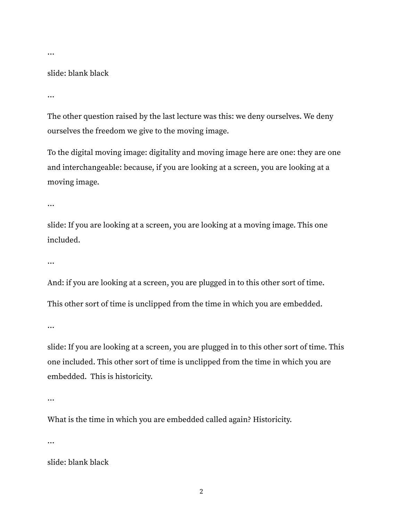…

#### slide: blank black

…

The other question raised by the last lecture was this: we deny ourselves. We deny ourselves the freedom we give to the moving image.

To the digital moving image: digitality and moving image here are one: they are one and interchangeable: because, if you are looking at a screen, you are looking at a moving image.

…

slide: If you are looking at a screen, you are looking at a moving image. This one included.

…

And: if you are looking at a screen, you are plugged in to this other sort of time. This other sort of time is unclipped from the time in which you are embedded.

…

slide: If you are looking at a screen, you are plugged in to this other sort of time. This one included. This other sort of time is unclipped from the time in which you are embedded. This is historicity.

…

What is the time in which you are embedded called again? Historicity.

…

slide: blank black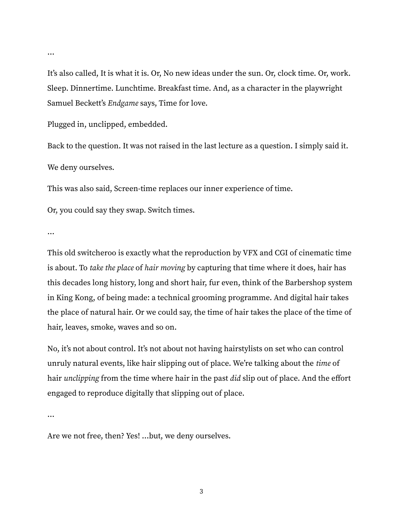It's also called, It is what it is. Or, No new ideas under the sun. Or, clock time. Or, work. Sleep. Dinnertime. Lunchtime. Breakfast time. And, as a character in the playwright Samuel Beckett's Endgame says, Time for love.

Plugged in, unclipped, embedded.

Back to the question. It was not raised in the last lecture as a question. I simply said it. We deny ourselves.

This was also said, Screen-time replaces our inner experience of time.

Or, you could say they swap. Switch times.

…

This old switcheroo is exactly what the reproduction by VFX and CGI of cinematic time is about. To take the place of hair moving by capturing that time where it does, hair has this decades long history, long and short hair, fur even, think of the Barbershop system in King Kong, of being made: a technical grooming programme. And digital hair takes the place of natural hair. Or we could say, the time of hair takes the place of the time of hair, leaves, smoke, waves and so on.

No, it's not about control. It's not about not having hairstylists on set who can control unruly natural events, like hair slipping out of place. We're talking about the *time* of hair *unclipping* from the time where hair in the past *did* slip out of place. And the effort engaged to reproduce digitally that slipping out of place.

…

Are we not free, then? Yes! …but, we deny ourselves.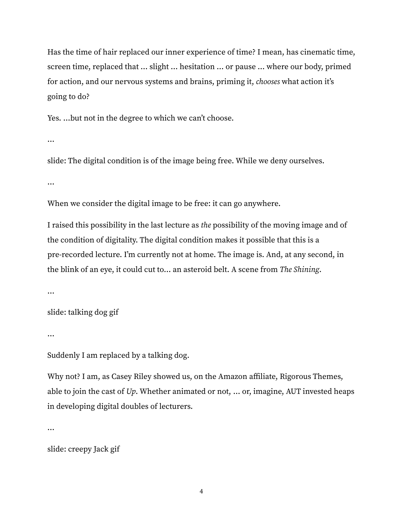Has the time of hair replaced our inner experience of time? I mean, has cinematic time, screen time, replaced that … slight … hesitation … or pause … where our body, primed for action, and our nervous systems and brains, priming it, chooses what action it's going to do?

Yes. …but not in the degree to which we can't choose.

…

slide: The digital condition is of the image being free. While we deny ourselves.

…

When we consider the digital image to be free: it can go anywhere.

I raised this possibility in the last lecture as the possibility of the moving image and of the condition of digitality. The digital condition makes it possible that this is a pre-recorded lecture. I'm currently not at home. The image is. And, at any second, in the blink of an eye, it could cut to… an asteroid belt. A scene from The Shining.

…

slide: talking dog gif

…

Suddenly I am replaced by a talking dog.

Why not? I am, as Casey Riley showed us, on the Amazon affiliate, Rigorous Themes, able to join the cast of  $Up$ . Whether animated or not, ... or, imagine, AUT invested heaps in developing digital doubles of lecturers.

…

slide: creepy Jack gif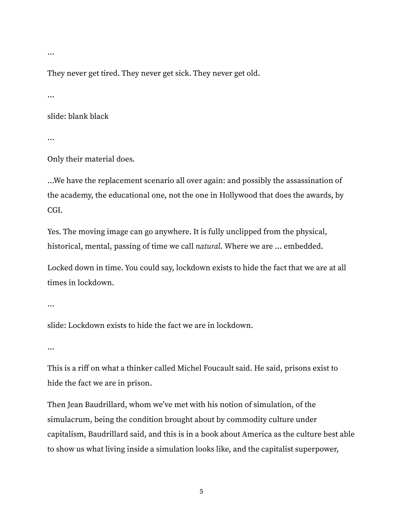…

They never get tired. They never get sick. They never get old.

…

slide: blank black

…

Only their material does.

…We have the replacement scenario all over again: and possibly the assassination of the academy, the educational one, not the one in Hollywood that does the awards, by CGI.

Yes. The moving image can go anywhere. It is fully unclipped from the physical, historical, mental, passing of time we call natural. Where we are ... embedded.

Locked down in time. You could say, lockdown exists to hide the fact that we are at all times in lockdown.

```
…
```
slide: Lockdown exists to hide the fact we are in lockdown.

…

This is a riff on what a thinker called Michel Foucault said. He said, prisons exist to hide the fact we are in prison.

Then Jean Baudrillard, whom we've met with his notion of simulation, of the simulacrum, being the condition brought about by commodity culture under capitalism, Baudrillard said, and this is in a book about America as the culture best able to show us what living inside a simulation looks like, and the capitalist superpower,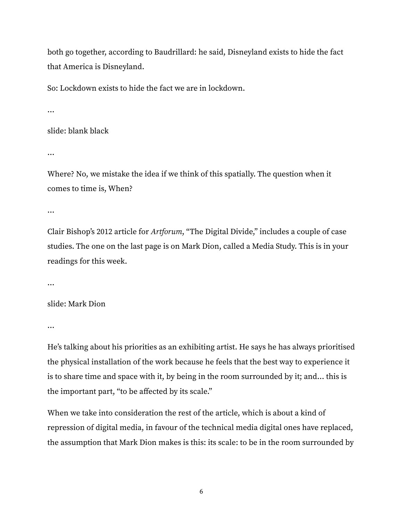both go together, according to Baudrillard: he said, Disneyland exists to hide the fact that America is Disneyland.

So: Lockdown exists to hide the fact we are in lockdown.

…

slide: blank black

…

Where? No, we mistake the idea if we think of this spatially. The question when it comes to time is, When?

…

Clair Bishop's 2012 article for Artforum, "The Digital Divide," includes a couple of case studies. The one on the last page is on Mark Dion, called a Media Study. This is in your readings for this week.

…

slide: Mark Dion

…

He's talking about his priorities as an exhibiting artist. He says he has always prioritised the physical installation of the work because he feels that the best way to experience it is to share time and space with it, by being in the room surrounded by it; and… this is the important part, "to be affected by its scale."

When we take into consideration the rest of the article, which is about a kind of repression of digital media, in favour of the technical media digital ones have replaced, the assumption that Mark Dion makes is this: its scale: to be in the room surrounded by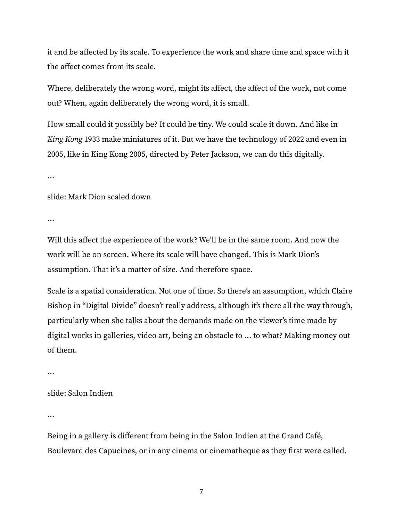it and be affected by its scale. To experience the work and share time and space with it the affect comes from its scale.

Where, deliberately the wrong word, might its affect, the affect of the work, not come out? When, again deliberately the wrong word, it is small.

How small could it possibly be? It could be tiny. We could scale it down. And like in King Kong 1933 make miniatures of it. But we have the technology of 2022 and even in 2005, like in King Kong 2005, directed by Peter Jackson, we can do this digitally.

…

slide: Mark Dion scaled down

…

Will this affect the experience of the work? We'll be in the same room. And now the work will be on screen. Where its scale will have changed. This is Mark Dion's assumption. That it's a matter of size. And therefore space.

Scale is a spatial consideration. Not one of time. So there's an assumption, which Claire Bishop in "Digital Divide" doesn't really address, although it's there all the way through, particularly when she talks about the demands made on the viewer's time made by digital works in galleries, video art, being an obstacle to … to what? Making money out of them.

…

slide: Salon Indien

…

Being in a gallery is different from being in the Salon Indien at the Grand Café, Boulevard des Capucines, or in any cinema or cinematheque as they first were called.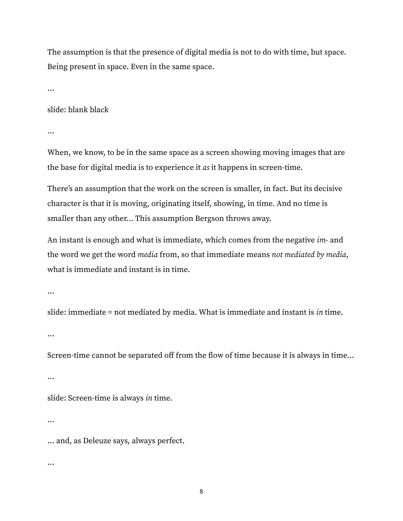The assumption is that the presence of digital media is not to do with time, but space. Being present in space. Even in the same space.

…

## slide: blank black

…

When, we know, to be in the same space as a screen showing moving images that are the base for digital media is to experience it as it happens in screen-time.

There's an assumption that the work on the screen is smaller, in fact. But its decisive character is that it is moving, originating itself, showing, in time. And no time is smaller than any other… This assumption Bergson throws away.

An instant is enough and what is immediate, which comes from the negative *im*- and the word we get the word media from, so that immediate means not mediated by media, what is immediate and instant is in time.

…

slide: immediate = not mediated by media. What is immediate and instant is in time.

…

Screen-time cannot be separated off from the flow of time because it is always in time…

…

slide: Screen-time is always in time.

…

… and, as Deleuze says, always perfect.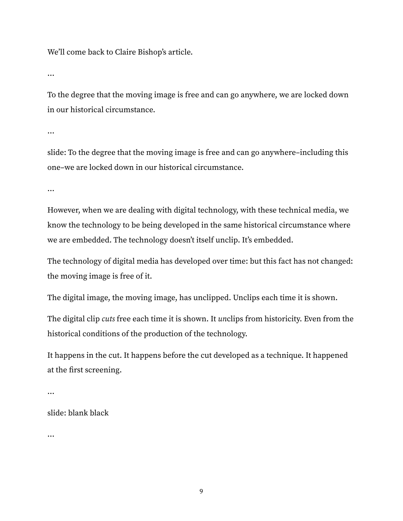We'll come back to Claire Bishop's article.

…

To the degree that the moving image is free and can go anywhere, we are locked down in our historical circumstance.

…

slide: To the degree that the moving image is free and can go anywhere–including this one–we are locked down in our historical circumstance.

…

However, when we are dealing with digital technology, with these technical media, we know the technology to be being developed in the same historical circumstance where we are embedded. The technology doesn't itself unclip. It's embedded.

The technology of digital media has developed over time: but this fact has not changed: the moving image is free of it.

The digital image, the moving image, has unclipped. Unclips each time it is shown.

The digital clip cuts free each time it is shown. It unclips from historicity. Even from the historical conditions of the production of the technology.

It happens in the cut. It happens before the cut developed as a technique. It happened at the first screening.

…

slide: blank black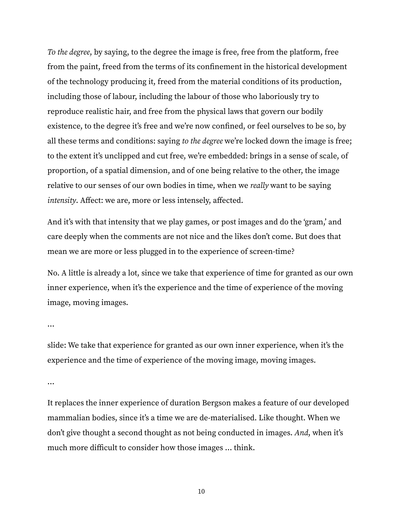To the degree, by saying, to the degree the image is free, free from the platform, free from the paint, freed from the terms of its confinement in the historical development of the technology producing it, freed from the material conditions of its production, including those of labour, including the labour of those who laboriously try to reproduce realistic hair, and free from the physical laws that govern our bodily existence, to the degree it's free and we're now confined, or feel ourselves to be so, by all these terms and conditions: saying to the degree we're locked down the image is free; to the extent it's unclipped and cut free, we're embedded: brings in a sense of scale, of proportion, of a spatial dimension, and of one being relative to the other, the image relative to our senses of our own bodies in time, when we really want to be saying intensity. Affect: we are, more or less intensely, affected.

And it's with that intensity that we play games, or post images and do the 'gram,' and care deeply when the comments are not nice and the likes don't come. But does that mean we are more or less plugged in to the experience of screen-time?

No. A little is already a lot, since we take that experience of time for granted as our own inner experience, when it's the experience and the time of experience of the moving image, moving images.

…

slide: We take that experience for granted as our own inner experience, when it's the experience and the time of experience of the moving image, moving images.

…

It replaces the inner experience of duration Bergson makes a feature of our developed mammalian bodies, since it's a time we are de-materialised. Like thought. When we don't give thought a second thought as not being conducted in images. And, when it's much more difficult to consider how those images … think.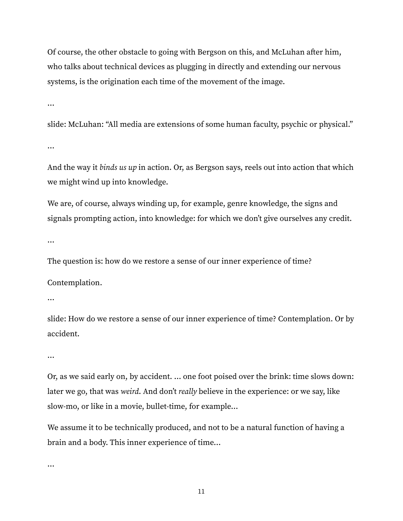Of course, the other obstacle to going with Bergson on this, and McLuhan after him, who talks about technical devices as plugging in directly and extending our nervous systems, is the origination each time of the movement of the image.

…

slide: McLuhan: "All media are extensions of some human faculty, psychic or physical."

…

And the way it binds us up in action. Or, as Bergson says, reels out into action that which we might wind up into knowledge.

We are, of course, always winding up, for example, genre knowledge, the signs and signals prompting action, into knowledge: for which we don't give ourselves any credit.

…

The question is: how do we restore a sense of our inner experience of time?

Contemplation.

…

slide: How do we restore a sense of our inner experience of time? Contemplation. Or by accident.

…

Or, as we said early on, by accident. … one foot poised over the brink: time slows down: later we go, that was weird. And don't really believe in the experience: or we say, like slow-mo, or like in a movie, bullet-time, for example…

We assume it to be technically produced, and not to be a natural function of having a brain and a body. This inner experience of time…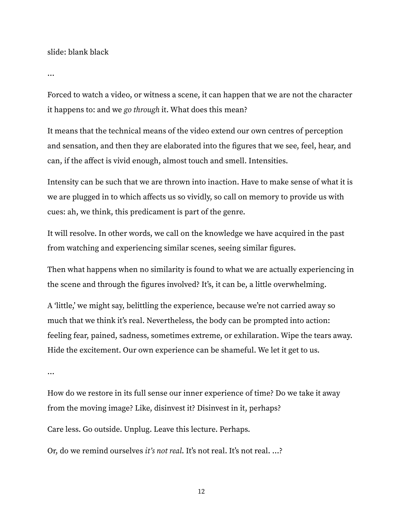slide: blank black

…

Forced to watch a video, or witness a scene, it can happen that we are not the character it happens to: and we go through it. What does this mean?

It means that the technical means of the video extend our own centres of perception and sensation, and then they are elaborated into the figures that we see, feel, hear, and can, if the affect is vivid enough, almost touch and smell. Intensities.

Intensity can be such that we are thrown into inaction. Have to make sense of what it is we are plugged in to which affects us so vividly, so call on memory to provide us with cues: ah, we think, this predicament is part of the genre.

It will resolve. In other words, we call on the knowledge we have acquired in the past from watching and experiencing similar scenes, seeing similar figures.

Then what happens when no similarity is found to what we are actually experiencing in the scene and through the figures involved? It's, it can be, a little overwhelming.

A 'little,' we might say, belittling the experience, because we're not carried away so much that we think it's real. Nevertheless, the body can be prompted into action: feeling fear, pained, sadness, sometimes extreme, or exhilaration. Wipe the tears away. Hide the excitement. Our own experience can be shameful. We let it get to us.

…

How do we restore in its full sense our inner experience of time? Do we take it away from the moving image? Like, disinvest it? Disinvest in it, perhaps?

Care less. Go outside. Unplug. Leave this lecture. Perhaps.

Or, do we remind ourselves it's not real. It's not real. It's not real. …?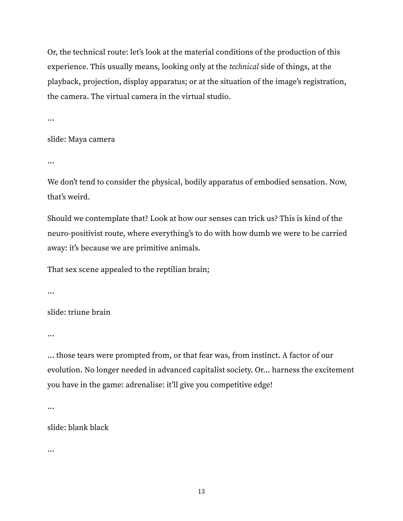Or, the technical route: let's look at the material conditions of the production of this experience. This usually means, looking only at the technical side of things, at the playback, projection, display apparatus; or at the situation of the image's registration, the camera. The virtual camera in the virtual studio.

…

## slide: Maya camera

…

We don't tend to consider the physical, bodily apparatus of embodied sensation. Now, that's weird.

Should we contemplate that? Look at how our senses can trick us? This is kind of the neuro-positivist route, where everything's to do with how dumb we were to be carried away: it's because we are primitive animals.

That sex scene appealed to the reptilian brain;

…

slide: triune brain

…

… those tears were prompted from, or that fear was, from instinct. A factor of our evolution. No longer needed in advanced capitalist society. Or… harness the excitement you have in the game: adrenalise: it'll give you competitive edge!

…

slide: blank black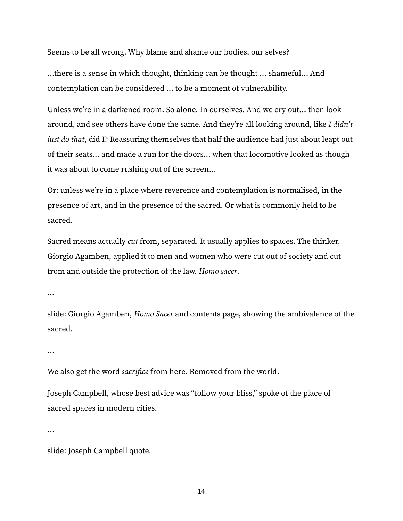Seems to be all wrong. Why blame and shame our bodies, our selves?

…there is a sense in which thought, thinking can be thought … shameful… And contemplation can be considered … to be a moment of vulnerability.

Unless we're in a darkened room. So alone. In ourselves. And we cry out… then look around, and see others have done the same. And they're all looking around, like I didn't just do that, did I? Reassuring themselves that half the audience had just about leapt out of their seats… and made a run for the doors… when that locomotive looked as though it was about to come rushing out of the screen…

Or: unless we're in a place where reverence and contemplation is normalised, in the presence of art, and in the presence of the sacred. Or what is commonly held to be sacred.

Sacred means actually cut from, separated. It usually applies to spaces. The thinker, Giorgio Agamben, applied it to men and women who were cut out of society and cut from and outside the protection of the law. Homo sacer.

…

slide: Giorgio Agamben, Homo Sacer and contents page, showing the ambivalence of the sacred.

…

We also get the word *sacrifice* from here. Removed from the world.

Joseph Campbell, whose best advice was "follow your bliss," spoke of the place of sacred spaces in modern cities.

…

slide: Joseph Campbell quote.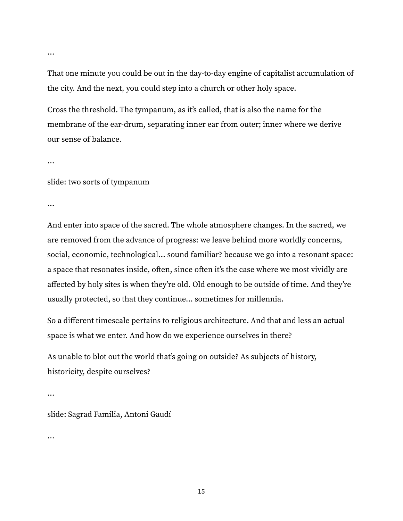That one minute you could be out in the day-to-day engine of capitalist accumulation of the city. And the next, you could step into a church or other holy space.

Cross the threshold. The tympanum, as it's called, that is also the name for the membrane of the ear-drum, separating inner ear from outer; inner where we derive our sense of balance.

…

…

slide: two sorts of tympanum

…

And enter into space of the sacred. The whole atmosphere changes. In the sacred, we are removed from the advance of progress: we leave behind more worldly concerns, social, economic, technological… sound familiar? because we go into a resonant space: a space that resonates inside, often, since often it's the case where we most vividly are affected by holy sites is when they're old. Old enough to be outside of time. And they're usually protected, so that they continue… sometimes for millennia.

So a different timescale pertains to religious architecture. And that and less an actual space is what we enter. And how do we experience ourselves in there?

As unable to blot out the world that's going on outside? As subjects of history, historicity, despite ourselves?

…

slide: Sagrad Familia, Antoni Gaudí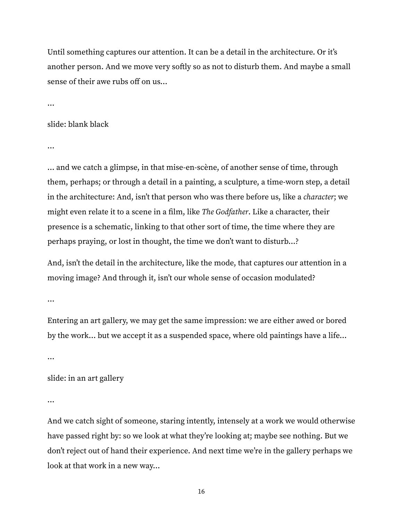Until something captures our attention. It can be a detail in the architecture. Or it's another person. And we move very softly so as not to disturb them. And maybe a small sense of their awe rubs off on us…

…

### slide: blank black

…

… and we catch a glimpse, in that mise-en-scène, of another sense of time, through them, perhaps; or through a detail in a painting, a sculpture, a time-worn step, a detail in the architecture: And, isn't that person who was there before us, like a *character*; we might even relate it to a scene in a film, like *The Godfather*. Like a character, their presence is a schematic, linking to that other sort of time, the time where they are perhaps praying, or lost in thought, the time we don't want to disturb…?

And, isn't the detail in the architecture, like the mode, that captures our attention in a moving image? And through it, isn't our whole sense of occasion modulated?

…

Entering an art gallery, we may get the same impression: we are either awed or bored by the work… but we accept it as a suspended space, where old paintings have a life…

…

# slide: in an art gallery

…

And we catch sight of someone, staring intently, intensely at a work we would otherwise have passed right by: so we look at what they're looking at; maybe see nothing. But we don't reject out of hand their experience. And next time we're in the gallery perhaps we look at that work in a new way…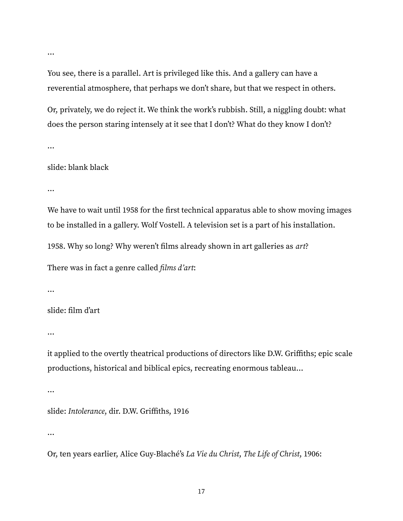You see, there is a parallel. Art is privileged like this. And a gallery can have a reverential atmosphere, that perhaps we don't share, but that we respect in others.

Or, privately, we do reject it. We think the work's rubbish. Still, a niggling doubt: what does the person staring intensely at it see that I don't? What do they know I don't?

…

…

## slide: blank black

…

We have to wait until 1958 for the first technical apparatus able to show moving images to be installed in a gallery. Wolf Vostell. A television set is a part of his installation.

1958. Why so long? Why weren't films already shown in art galleries as art?

There was in fact a genre called *films d'art*:

…

# slide: film d'art

…

it applied to the overtly theatrical productions of directors like D.W. Griffiths; epic scale productions, historical and biblical epics, recreating enormous tableau…

…

```
slide: Intolerance, dir. D.W. Griffiths, 1916
```
…

Or, ten years earlier, Alice Guy-Blaché's La Vie du Christ, The Life of Christ, 1906: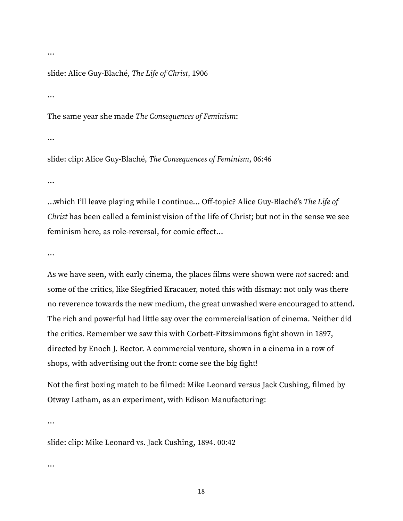slide: Alice Guy-Blaché, The Life of Christ, 1906

…

…

The same year she made The Consequences of Feminism:

…

slide: clip: Alice Guy-Blaché, The Consequences of Feminism, 06:46

…

…which I'll leave playing while I continue… Off-topic? Alice Guy-Blaché's The Life of Christ has been called a feminist vision of the life of Christ; but not in the sense we see feminism here, as role-reversal, for comic effect…

…

As we have seen, with early cinema, the places films were shown were not sacred: and some of the critics, like Siegfried Kracauer, noted this with dismay: not only was there no reverence towards the new medium, the great unwashed were encouraged to attend. The rich and powerful had little say over the commercialisation of cinema. Neither did the critics. Remember we saw this with Corbett-Fitzsimmons fight shown in 1897, directed by Enoch J. Rector. A commercial venture, shown in a cinema in a row of shops, with advertising out the front: come see the big fight!

Not the first boxing match to be filmed: Mike Leonard versus Jack Cushing, filmed by Otway Latham, as an experiment, with Edison Manufacturing:

…

slide: clip: Mike Leonard vs. Jack Cushing, 1894. 00:42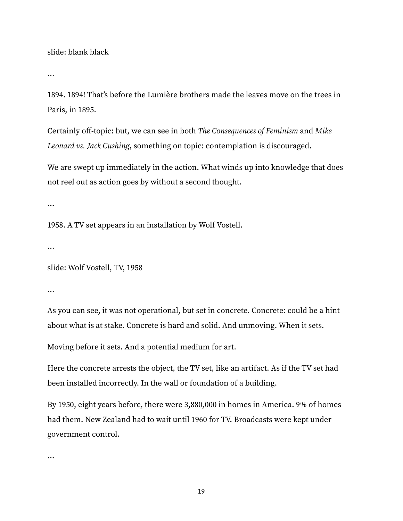slide: blank black

…

1894. 1894! That's before the Lumière brothers made the leaves move on the trees in Paris, in 1895.

Certainly off-topic: but, we can see in both The Consequences of Feminism and Mike Leonard vs. Jack Cushing, something on topic: contemplation is discouraged.

We are swept up immediately in the action. What winds up into knowledge that does not reel out as action goes by without a second thought.

…

1958. A TV set appears in an installation by Wolf Vostell.

…

slide: Wolf Vostell, TV, 1958

…

As you can see, it was not operational, but set in concrete. Concrete: could be a hint about what is at stake. Concrete is hard and solid. And unmoving. When it sets.

Moving before it sets. And a potential medium for art.

Here the concrete arrests the object, the TV set, like an artifact. As if the TV set had been installed incorrectly. In the wall or foundation of a building.

By 1950, eight years before, there were 3,880,000 in homes in America. 9% of homes had them. New Zealand had to wait until 1960 for TV. Broadcasts were kept under government control.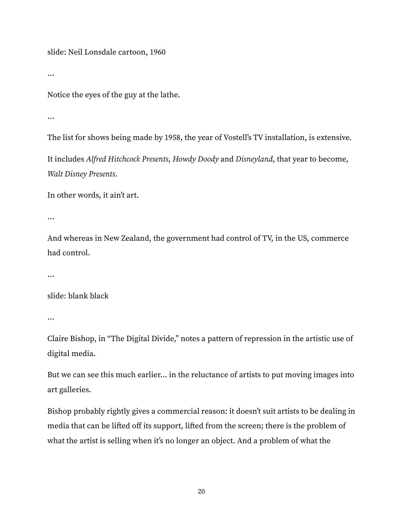slide: Neil Lonsdale cartoon, 1960

…

Notice the eyes of the guy at the lathe.

…

The list for shows being made by 1958, the year of Vostell's TV installation, is extensive.

It includes Alfred Hitchcock Presents, Howdy Doody and Disneyland, that year to become, Walt Disney Presents.

In other words, it ain't art.

…

And whereas in New Zealand, the government had control of TV, in the US, commerce had control.

…

slide: blank black

…

Claire Bishop, in "The Digital Divide," notes a pattern of repression in the artistic use of digital media.

But we can see this much earlier… in the reluctance of artists to put moving images into art galleries.

Bishop probably rightly gives a commercial reason: it doesn't suit artists to be dealing in media that can be lifted off its support, lifted from the screen; there is the problem of what the artist is selling when it's no longer an object. And a problem of what the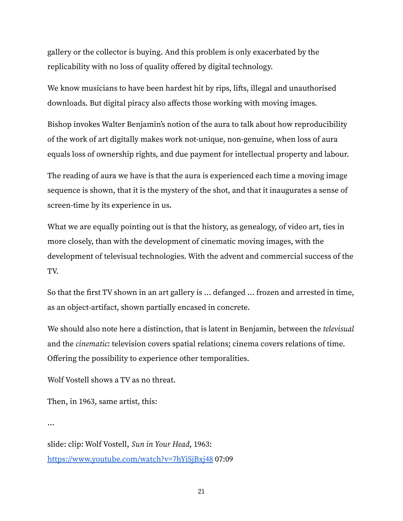gallery or the collector is buying. And this problem is only exacerbated by the replicability with no loss of quality offered by digital technology.

We know musicians to have been hardest hit by rips, lifts, illegal and unauthorised downloads. But digital piracy also affects those working with moving images.

Bishop invokes Walter Benjamin's notion of the aura to talk about how reproducibility of the work of art digitally makes work not-unique, non-genuine, when loss of aura equals loss of ownership rights, and due payment for intellectual property and labour.

The reading of aura we have is that the aura is experienced each time a moving image sequence is shown, that it is the mystery of the shot, and that it inaugurates a sense of screen-time by its experience in us.

What we are equally pointing out is that the history, as genealogy, of video art, ties in more closely, than with the development of cinematic moving images, with the development of televisual technologies. With the advent and commercial success of the TV.

So that the first TV shown in an art gallery is … defanged … frozen and arrested in time, as an object-artifact, shown partially encased in concrete.

We should also note here a distinction, that is latent in Benjamin, between the televisual and the cinematic: television covers spatial relations; cinema covers relations of time. Offering the possibility to experience other temporalities.

Wolf Vostell shows a TV as no threat.

Then, in 1963, same artist, this:

…

slide: clip: Wolf Vostell, Sun in Your Head, 1963: <https://www.youtube.com/watch?v=7hYiSjBxj48> 07:09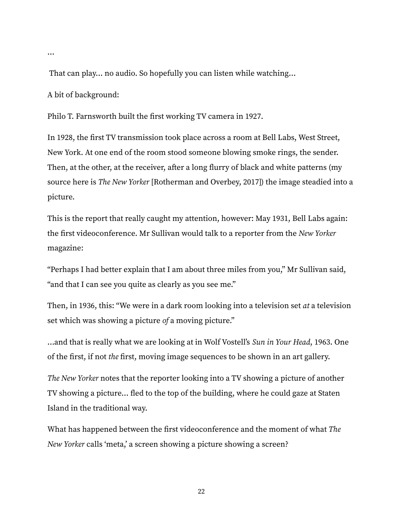…

That can play… no audio. So hopefully you can listen while watching…

A bit of background:

Philo T. Farnsworth built the first working TV camera in 1927.

In 1928, the first TV transmission took place across a room at Bell Labs, West Street, New York. At one end of the room stood someone blowing smoke rings, the sender. Then, at the other, at the receiver, after a long flurry of black and white patterns (my source here is The New Yorker [Rotherman and Overbey, 2017]) the image steadied into a picture.

This is the report that really caught my attention, however: May 1931, Bell Labs again: the first videoconference. Mr Sullivan would talk to a reporter from the New Yorker magazine:

"Perhaps I had better explain that I am about three miles from you," Mr Sullivan said, "and that I can see you quite as clearly as you see me."

Then, in 1936, this: "We were in a dark room looking into a television set *at* a television set which was showing a picture of a moving picture."

...and that is really what we are looking at in Wolf Vostell's Sun in Your Head, 1963. One of the first, if not the first, moving image sequences to be shown in an art gallery.

The New Yorker notes that the reporter looking into a TV showing a picture of another TV showing a picture… fled to the top of the building, where he could gaze at Staten Island in the traditional way.

What has happened between the first videoconference and the moment of what The New Yorker calls 'meta,' a screen showing a picture showing a screen?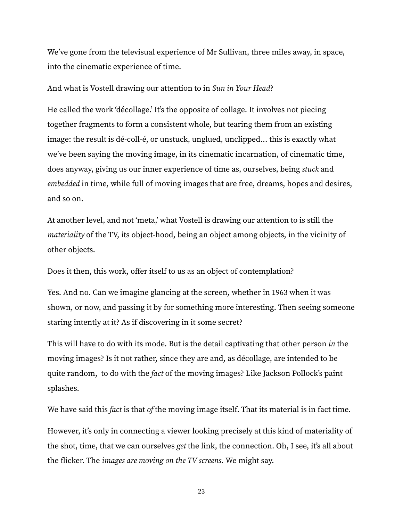We've gone from the televisual experience of Mr Sullivan, three miles away, in space, into the cinematic experience of time.

And what is Vostell drawing our attention to in Sun in Your Head?

He called the work 'décollage.' It's the opposite of collage. It involves not piecing together fragments to form a consistent whole, but tearing them from an existing image: the result is dé-coll-é, or unstuck, unglued, unclipped… this is exactly what we've been saying the moving image, in its cinematic incarnation, of cinematic time, does anyway, giving us our inner experience of time as, ourselves, being stuck and embedded in time, while full of moving images that are free, dreams, hopes and desires, and so on.

At another level, and not 'meta,' what Vostell is drawing our attention to is still the materiality of the TV, its object-hood, being an object among objects, in the vicinity of other objects.

Does it then, this work, offer itself to us as an object of contemplation?

Yes. And no. Can we imagine glancing at the screen, whether in 1963 when it was shown, or now, and passing it by for something more interesting. Then seeing someone staring intently at it? As if discovering in it some secret?

This will have to do with its mode. But is the detail captivating that other person in the moving images? Is it not rather, since they are and, as décollage, are intended to be quite random, to do with the fact of the moving images? Like Jackson Pollock's paint splashes.

We have said this *fact* is that *of* the moving image itself. That its material is in fact time.

However, it's only in connecting a viewer looking precisely at this kind of materiality of the shot, time, that we can ourselves get the link, the connection. Oh, I see, it's all about the flicker. The images are moving on the TV screens. We might say.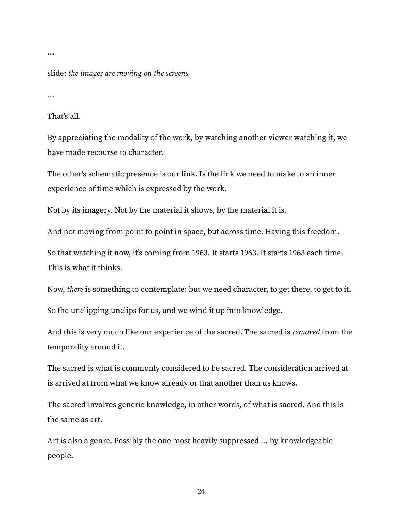#### …

slide: the images are moving on the screens

…

That's all.

By appreciating the modality of the work, by watching another viewer watching it, we have made recourse to character.

The other's schematic presence is our link. Is the link we need to make to an inner experience of time which is expressed by the work.

Not by its imagery. Not by the material it shows, by the material it is.

And not moving from point to point in space, but across time. Having this freedom.

So that watching it now, it's coming from 1963. It starts 1963. It starts 1963 each time. This is what it thinks.

Now, there is something to contemplate: but we need character, to get there, to get to it.

So the unclipping unclips for us, and we wind it up into knowledge.

And this is very much like our experience of the sacred. The sacred is removed from the temporality around it.

The sacred is what is commonly considered to be sacred. The consideration arrived at is arrived at from what we know already or that another than us knows.

The sacred involves generic knowledge, in other words, of what is sacred. And this is the same as art.

Art is also a genre. Possibly the one most heavily suppressed … by knowledgeable people.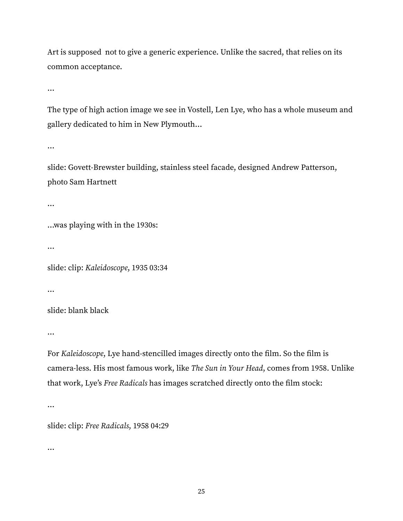Art is supposed not to give a generic experience. Unlike the sacred, that relies on its common acceptance.

…

The type of high action image we see in Vostell, Len Lye, who has a whole museum and gallery dedicated to him in New Plymouth…

…

slide: Govett-Brewster building, stainless steel facade, designed Andrew Patterson, photo Sam Hartnett

…

…was playing with in the 1930s:

…

slide: clip: Kaleidoscope, 1935 03:34

…

slide: blank black

…

For Kaleidoscope, Lye hand-stencilled images directly onto the film. So the film is camera-less. His most famous work, like The Sun in Your Head, comes from 1958. Unlike that work, Lye's Free Radicals has images scratched directly onto the film stock:

…

slide: clip: Free Radicals, 1958 04:29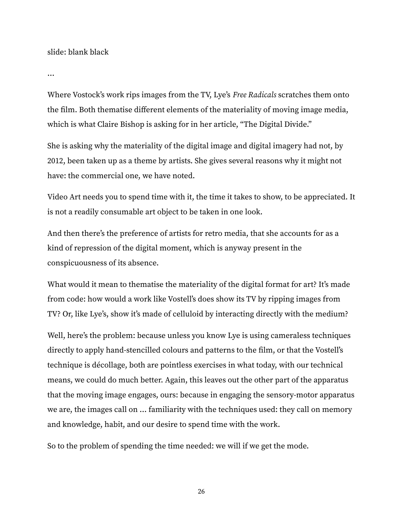slide: blank black

…

Where Vostock's work rips images from the TV, Lye's Free Radicals scratches them onto the film. Both thematise different elements of the materiality of moving image media, which is what Claire Bishop is asking for in her article, "The Digital Divide."

She is asking why the materiality of the digital image and digital imagery had not, by 2012, been taken up as a theme by artists. She gives several reasons why it might not have: the commercial one, we have noted.

Video Art needs you to spend time with it, the time it takes to show, to be appreciated. It is not a readily consumable art object to be taken in one look.

And then there's the preference of artists for retro media, that she accounts for as a kind of repression of the digital moment, which is anyway present in the conspicuousness of its absence.

What would it mean to thematise the materiality of the digital format for art? It's made from code: how would a work like Vostell's does show its TV by ripping images from TV? Or, like Lye's, show it's made of celluloid by interacting directly with the medium?

Well, here's the problem: because unless you know Lye is using cameraless techniques directly to apply hand-stencilled colours and patterns to the film, or that the Vostell's technique is décollage, both are pointless exercises in what today, with our technical means, we could do much better. Again, this leaves out the other part of the apparatus that the moving image engages, ours: because in engaging the sensory-motor apparatus we are, the images call on … familiarity with the techniques used: they call on memory and knowledge, habit, and our desire to spend time with the work.

So to the problem of spending the time needed: we will if we get the mode.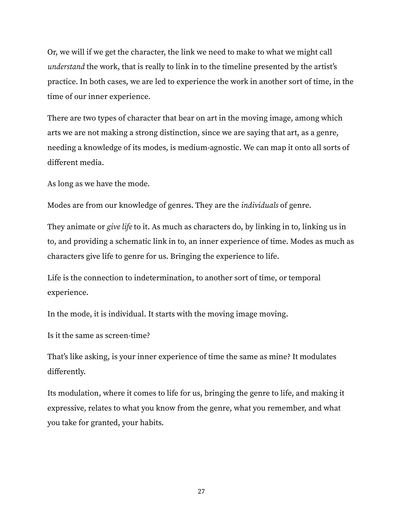Or, we will if we get the character, the link we need to make to what we might call understand the work, that is really to link in to the timeline presented by the artist's practice. In both cases, we are led to experience the work in another sort of time, in the time of our inner experience.

There are two types of character that bear on art in the moving image, among which arts we are not making a strong distinction, since we are saying that art, as a genre, needing a knowledge of its modes, is medium-agnostic. We can map it onto all sorts of different media.

As long as we have the mode.

Modes are from our knowledge of genres. They are the individuals of genre.

They animate or give life to it. As much as characters do, by linking in to, linking us in to, and providing a schematic link in to, an inner experience of time. Modes as much as characters give life to genre for us. Bringing the experience to life.

Life is the connection to indetermination, to another sort of time, or temporal experience.

In the mode, it is individual. It starts with the moving image moving.

Is it the same as screen-time?

That's like asking, is your inner experience of time the same as mine? It modulates differently.

Its modulation, where it comes to life for us, bringing the genre to life, and making it expressive, relates to what you know from the genre, what you remember, and what you take for granted, your habits.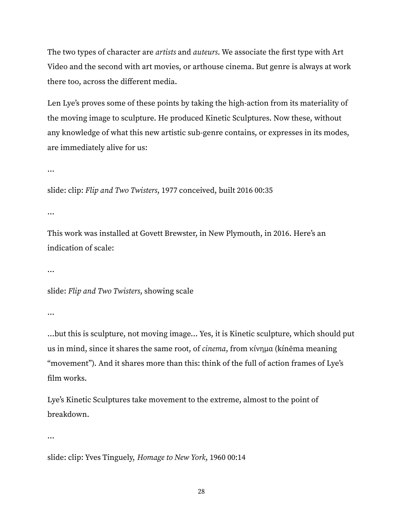The two types of character are *artists* and *auteurs*. We associate the first type with Art Video and the second with art movies, or arthouse cinema. But genre is always at work there too, across the different media.

Len Lye's proves some of these points by taking the high-action from its materiality of the moving image to sculpture. He produced Kinetic Sculptures. Now these, without any knowledge of what this new artistic sub-genre contains, or expresses in its modes, are immediately alive for us:

…

slide: clip: Flip and Two Twisters, 1977 conceived, built 2016 00:35

…

This work was installed at Govett Brewster, in New Plymouth, in 2016. Here's an indication of scale:

…

slide: Flip and Two Twisters, showing scale

…

…but this is sculpture, not moving image… Yes, it is Kinetic sculpture, which should put us in mind, since it shares the same root, of cinema, from [κίνημα](https://en.wiktionary.org/wiki/%CE%BA%CE%AF%CE%BD%CE%B7%CE%BC%CE%B1#Ancient_Greek) (kínēma meaning "movement"). And it shares more than this: think of the full of action frames of Lye's film works.

Lye's Kinetic Sculptures take movement to the extreme, almost to the point of breakdown.

…

slide: clip: Yves Tinguely, Homage to New York, 1960 00:14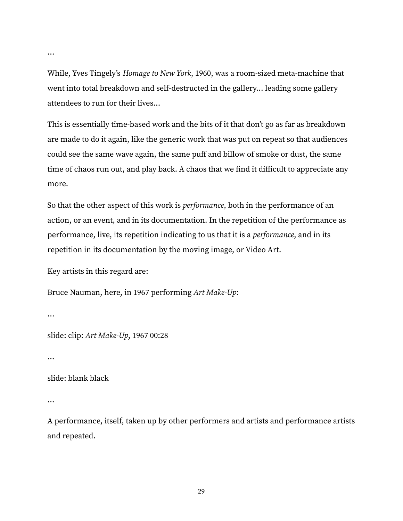While, Yves Tingely's Homage to New York, 1960, was a room-sized meta-machine that went into total breakdown and self-destructed in the gallery… leading some gallery attendees to run for their lives…

This is essentially time-based work and the bits of it that don't go as far as breakdown are made to do it again, like the generic work that was put on repeat so that audiences could see the same wave again, the same puff and billow of smoke or dust, the same time of chaos run out, and play back. A chaos that we find it difficult to appreciate any more.

So that the other aspect of this work is performance, both in the performance of an action, or an event, and in its documentation. In the repetition of the performance as performance, live, its repetition indicating to us that it is a performance, and in its repetition in its documentation by the moving image, or Video Art.

Key artists in this regard are:

```
Bruce Nauman, here, in 1967 performing Art Make-Up:
```
…

…

slide: clip: Art Make-Up, 1967 00:28

…

slide: blank black

…

A performance, itself, taken up by other performers and artists and performance artists and repeated.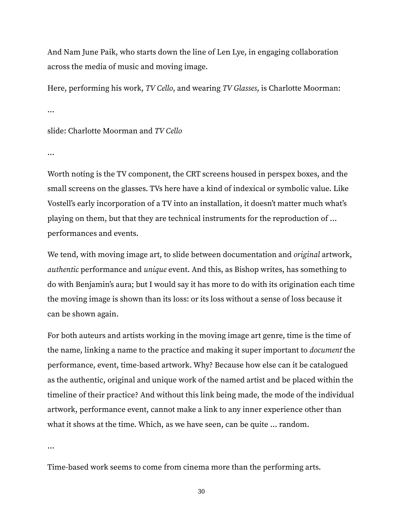And Nam June Paik, who starts down the line of Len Lye, in engaging collaboration across the media of music and moving image.

Here, performing his work, TV Cello, and wearing TV Glasses, is Charlotte Moorman:

…

slide: Charlotte Moorman and TV Cello

…

Worth noting is the TV component, the CRT screens housed in perspex boxes, and the small screens on the glasses. TVs here have a kind of indexical or symbolic value. Like Vostell's early incorporation of a TV into an installation, it doesn't matter much what's playing on them, but that they are technical instruments for the reproduction of … performances and events.

We tend, with moving image art, to slide between documentation and original artwork, authentic performance and unique event. And this, as Bishop writes, has something to do with Benjamin's aura; but I would say it has more to do with its origination each time the moving image is shown than its loss: or its loss without a sense of loss because it can be shown again.

For both auteurs and artists working in the moving image art genre, time is the time of the name, linking a name to the practice and making it super important to document the performance, event, time-based artwork. Why? Because how else can it be catalogued as the authentic, original and unique work of the named artist and be placed within the timeline of their practice? And without this link being made, the mode of the individual artwork, performance event, cannot make a link to any inner experience other than what it shows at the time. Which, as we have seen, can be quite … random.

…

Time-based work seems to come from cinema more than the performing arts.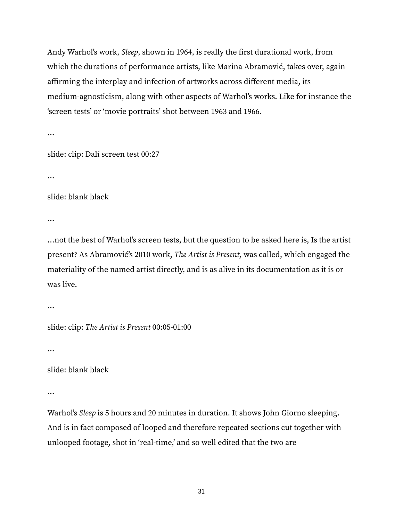Andy Warhol's work, Sleep, shown in 1964, is really the first durational work, from which the durations of performance artists, like Marina Abramović, takes over, again affirming the interplay and infection of artworks across different media, its medium-agnosticism, along with other aspects of Warhol's works. Like for instance the 'screen tests' or 'movie portraits' shot between 1963 and 1966.

slide: clip: Dalí screen test 00:27

…

…

slide: blank black

…

…not the best of Warhol's screen tests, but the question to be asked here is, Is the artist present? As Abramović's 2010 work, The Artist is Present, was called, which engaged the materiality of the named artist directly, and is as alive in its documentation as it is or was live.

…

slide: clip: The Artist is Present 00:05-01:00

…

slide: blank black

…

Warhol's Sleep is 5 hours and 20 minutes in duration. It shows John Giorno sleeping. And is in fact composed of looped and therefore repeated sections cut together with unlooped footage, shot in 'real-time,' and so well edited that the two are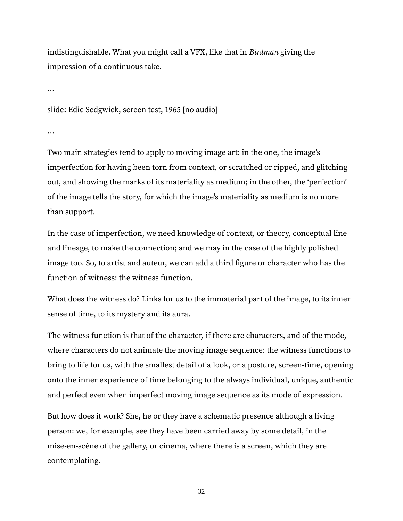indistinguishable. What you might call a VFX, like that in Birdman giving the impression of a continuous take.

…

slide: Edie Sedgwick, screen test, 1965 [no audio]

…

Two main strategies tend to apply to moving image art: in the one, the image's imperfection for having been torn from context, or scratched or ripped, and glitching out, and showing the marks of its materiality as medium; in the other, the 'perfection' of the image tells the story, for which the image's materiality as medium is no more than support.

In the case of imperfection, we need knowledge of context, or theory, conceptual line and lineage, to make the connection; and we may in the case of the highly polished image too. So, to artist and auteur, we can add a third figure or character who has the function of witness: the witness function.

What does the witness do? Links for us to the immaterial part of the image, to its inner sense of time, to its mystery and its aura.

The witness function is that of the character, if there are characters, and of the mode, where characters do not animate the moving image sequence: the witness functions to bring to life for us, with the smallest detail of a look, or a posture, screen-time, opening onto the inner experience of time belonging to the always individual, unique, authentic and perfect even when imperfect moving image sequence as its mode of expression.

But how does it work? She, he or they have a schematic presence although a living person: we, for example, see they have been carried away by some detail, in the mise-en-scène of the gallery, or cinema, where there is a screen, which they are contemplating.